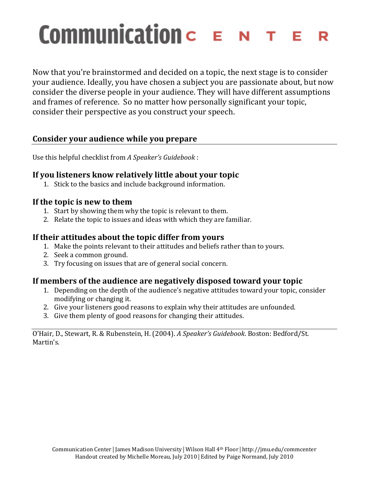# **Communication**  $c \in N$ R

Now that you're brainstormed and decided on a topic, the next stage is to consider your audience. Ideally, you have chosen a subject you are passionate about, but now consider the diverse people in your audience. They will have different assumptions and frames of reference. So no matter how personally significant your topic, consider their perspective as you construct your speech.

## **Consider)your)audience)while)you)prepare**

Use this helpful checklist from *A Speaker's Guidebook*:

#### If you listeners know relatively little about your topic

1. Stick to the basics and include background information.

#### If the topic is new to them

- 1. Start by showing them why the topic is relevant to them.
- 2. Relate the topic to issues and ideas with which they are familiar.

#### If their attitudes about the topic differ from yours

- 1. Make the points relevant to their attitudes and beliefs rather than to yours.
- 2. Seek a common ground.
- 3. Try focusing on issues that are of general social concern.

### If members of the audience are negatively disposed toward your topic

- 1. Depending on the depth of the audience's negative attitudes toward your topic, consider modifying or changing it.
- 2. Give your listeners good reasons to explain why their attitudes are unfounded.
- 3. Give them plenty of good reasons for changing their attitudes.

O'Hair, D., Stewart, R. & Rubenstein, H. (2004). *A Speaker's Guidebook*. Boston: Bedford/St. Martin's.